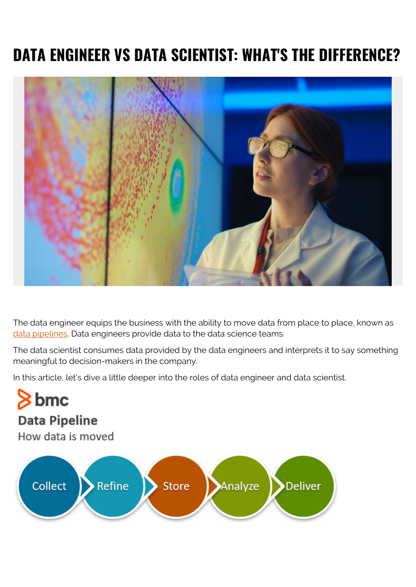# **DATA ENGINEER VS DATA SCIENTIST: WHAT'S THE DIFFERENCE?**



The data engineer equips the business with the ability to move data from place to place, known as [data pipelines.](https://www.bmc.com/blogs/data-pipeline/) Data engineers provide data to the data science teams.

The data scientist consumes data provided by the data engineers and interprets it to say something meaningful to decision-makers in the company.

In this article, let's dive a little deeper into the roles of data engineer and data scientist.

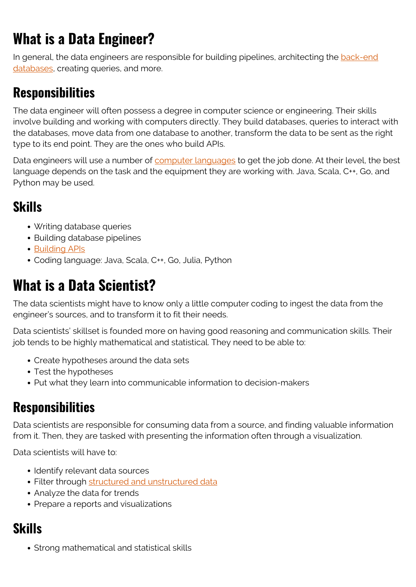## **What is a Data Engineer?**

In general, the data engineers are responsible for building pipelines, architecting the [back-end](https://www.bmc.com/blogs/data-lake-vs-data-warehouse-vs-database-whats-the-difference/) [databases,](https://www.bmc.com/blogs/data-lake-vs-data-warehouse-vs-database-whats-the-difference/) creating queries, and more.

### **Responsibilities**

The data engineer will often possess a degree in computer science or engineering. Their skills involve building and working with computers directly. They build databases, queries to interact with the databases, move data from one database to another, transform the data to be sent as the right type to its end point. They are the ones who build APIs.

Data engineers will use a number of [computer languages](https://www.bmc.com/blogs/programming-languages/) to get the job done. At their level, the best language depends on the task and the equipment they are working with. Java, Scala, C++, Go, and Python may be used.

### **Skills**

- Writing database queries
- Building database pipelines
- [Building APIs](https://www.bmc.com/blogs/api-developer-portals/)
- Coding language: Java, Scala, C++, Go, Julia, Python

## **What is a Data Scientist?**

The data scientists might have to know only a little computer coding to ingest the data from the engineer's sources, and to transform it to fit their needs.

Data scientists' skillset is founded more on having good reasoning and communication skills. Their job tends to be highly mathematical and statistical. They need to be able to:

- Create hypotheses around the data sets
- Test the hypotheses
- Put what they learn into communicable information to decision-makers

#### **Responsibilities**

Data scientists are responsible for consuming data from a source, and finding valuable information from it. Then, they are tasked with presenting the information often through a visualization.

Data scientists will have to:

- Identify relevant data sources
- Filter through [structured and unstructured data](https://www.bmc.com/blogs/structured-vs-unstructured-data/)
- Analyze the data for trends
- Prepare a reports and visualizations

### **Skills**

• Strong mathematical and statistical skills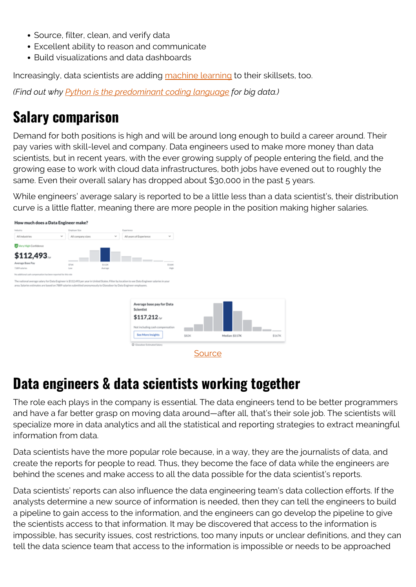- Source, filter, clean, and verify data
- Excellent ability to reason and communicate
- Build visualizations and data dashboards

Increasingly, data scientists are adding [machine learning](https://www.bmc.com/blogs/artificial-intelligence-vs-machine-learning/) to their skillsets, too.

*(Find out why [Python is the predominant coding language](https://www.bmc.com/blogs/python-big-data-analytics/) for big data.)*

## **Salary comparison**

Demand for both positions is high and will be around long enough to build a career around. Their pay varies with skill-level and company. Data engineers used to make more money than data scientists, but in recent years, with the ever growing supply of people entering the field, and the growing ease to work with cloud data infrastructures, both jobs have evened out to roughly the same. Even their overall salary has dropped about \$30,000 in the past 5 years.

While engineers' average salary is reported to be a little less than a data scientist's, their distribution curve is a little flatter, meaning there are more people in the position making higher salaries.



### **Data engineers & data scientists working together**

The role each plays in the company is essential. The data engineers tend to be better programmers and have a far better grasp on moving data around—after all, that's their sole job. The scientists will specialize more in data analytics and all the statistical and reporting strategies to extract meaningful information from data.

Data scientists have the more popular role because, in a way, they are the journalists of data, and create the reports for people to read. Thus, they become the face of data while the engineers are behind the scenes and make access to all the data possible for the data scientist's reports.

Data scientists' reports can also influence the data engineering team's data collection efforts. If the analysts determine a new source of information is needed, then they can tell the engineers to build a pipeline to gain access to the information, and the engineers can go develop the pipeline to give the scientists access to that information. It may be discovered that access to the information is impossible, has security issues, cost restrictions, too many inputs or unclear definitions, and they can tell the data science team that access to the information is impossible or needs to be approached